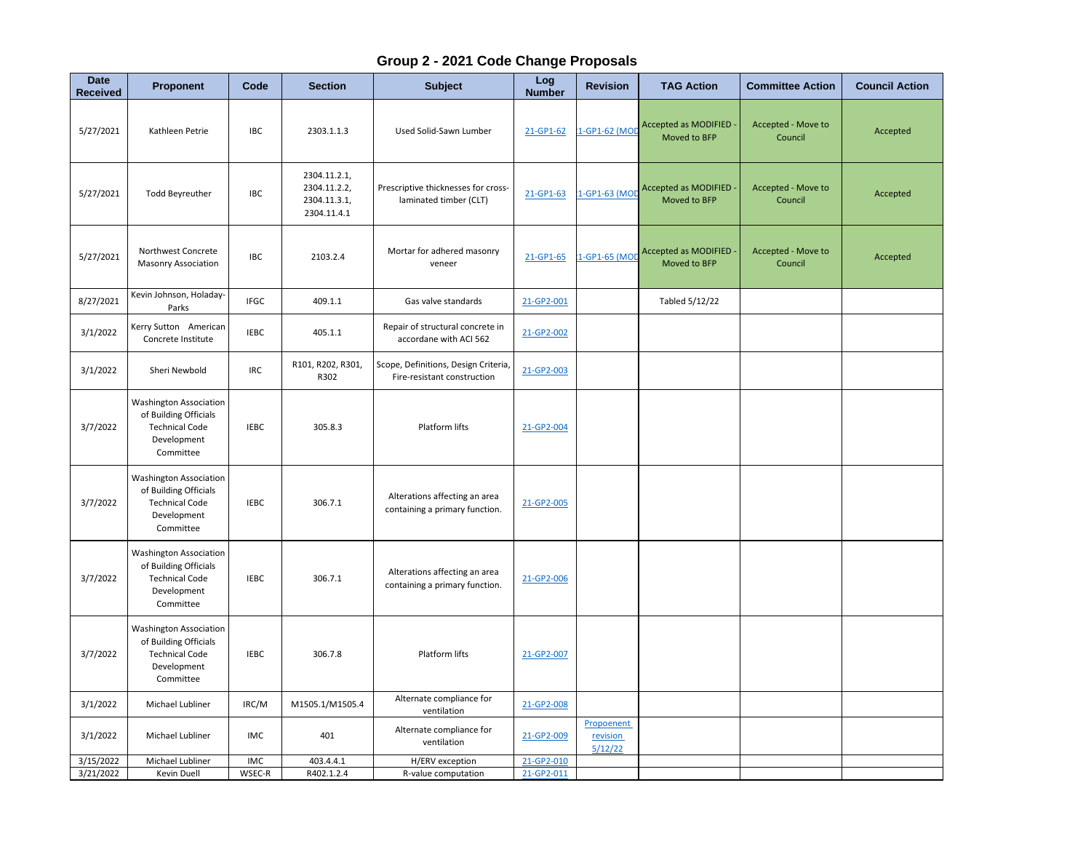## **Group 2 - 2021 Code Change Proposals**

| <b>Date</b><br>Received | <b>Proponent</b>                                                                                            | Code        | <b>Section</b>                                              | <b>Subject</b>                                                      | Log<br><b>Number</b> | <b>Revision</b>                   | <b>TAG Action</b>                    | <b>Committee Action</b>       | <b>Council Action</b> |
|-------------------------|-------------------------------------------------------------------------------------------------------------|-------------|-------------------------------------------------------------|---------------------------------------------------------------------|----------------------|-----------------------------------|--------------------------------------|-------------------------------|-----------------------|
| 5/27/2021               | Kathleen Petrie                                                                                             | <b>IBC</b>  | 2303.1.1.3                                                  | Used Solid-Sawn Lumber                                              | 21-GP1-62            | -GP1-62 (MOD                      | Accepted as MODIFIED<br>Moved to BFP | Accepted - Move to<br>Council | Accepted              |
| 5/27/2021               | <b>Todd Beyreuther</b>                                                                                      | <b>IBC</b>  | 2304.11.2.1,<br>2304.11.2.2,<br>2304.11.3.1,<br>2304.11.4.1 | Prescriptive thicknesses for cross-<br>laminated timber (CLT)       | 21-GP1-63            | I-GP1-63 (MO                      | Accepted as MODIFIED<br>Moved to BFP | Accepted - Move to<br>Council | Accepted              |
| 5/27/2021               | Northwest Concrete<br><b>Masonry Association</b>                                                            | <b>IBC</b>  | 2103.2.4                                                    | Mortar for adhered masonry<br>veneer                                | 21-GP1-65            | 1-GP1-65 (MOD                     | Accepted as MODIFIED<br>Moved to BFP | Accepted - Move to<br>Council | Accepted              |
| 8/27/2021               | Kevin Johnson, Holaday-<br>Parks                                                                            | <b>IFGC</b> | 409.1.1                                                     | Gas valve standards                                                 | 21-GP2-001           |                                   | Tabled 5/12/22                       |                               |                       |
| 3/1/2022                | Kerry Sutton American<br>Concrete Institute                                                                 | <b>IEBC</b> | 405.1.1                                                     | Repair of structural concrete in<br>accordane with ACI 562          | 21-GP2-002           |                                   |                                      |                               |                       |
| 3/1/2022                | Sheri Newbold                                                                                               | <b>IRC</b>  | R101, R202, R301,<br>R302                                   | Scope, Definitions, Design Criteria,<br>Fire-resistant construction | 21-GP2-003           |                                   |                                      |                               |                       |
| 3/7/2022                | <b>Washington Association</b><br>of Building Officials<br><b>Technical Code</b><br>Development<br>Committee | <b>IEBC</b> | 305.8.3                                                     | Platform lifts                                                      | 21-GP2-004           |                                   |                                      |                               |                       |
| 3/7/2022                | <b>Washington Association</b><br>of Building Officials<br><b>Technical Code</b><br>Development<br>Committee | <b>IEBC</b> | 306.7.1                                                     | Alterations affecting an area<br>containing a primary function.     | 21-GP2-005           |                                   |                                      |                               |                       |
| 3/7/2022                | <b>Washington Association</b><br>of Building Officials<br><b>Technical Code</b><br>Development<br>Committee | <b>IEBC</b> | 306.7.1                                                     | Alterations affecting an area<br>containing a primary function.     | 21-GP2-006           |                                   |                                      |                               |                       |
| 3/7/2022                | <b>Washington Association</b><br>of Building Officials<br><b>Technical Code</b><br>Development<br>Committee | <b>IEBC</b> | 306.7.8                                                     | Platform lifts                                                      | 21-GP2-007           |                                   |                                      |                               |                       |
| 3/1/2022                | Michael Lubliner                                                                                            | IRC/M       | M1505.1/M1505.4                                             | Alternate compliance for<br>ventilation                             | 21-GP2-008           |                                   |                                      |                               |                       |
| 3/1/2022                | Michael Lubliner                                                                                            | IMC         | 401                                                         | Alternate compliance for<br>ventilation                             | 21-GP2-009           | Propoenent<br>revision<br>5/12/22 |                                      |                               |                       |
| 3/15/2022               | Michael Lubliner                                                                                            | IMC         | 403.4.4.1                                                   | H/ERV exception                                                     | 21-GP2-010           |                                   |                                      |                               |                       |
| 3/21/2022               | Kevin Duell                                                                                                 | WSEC-R      | R402.1.2.4                                                  | R-value computation                                                 | 21-GP2-011           |                                   |                                      |                               |                       |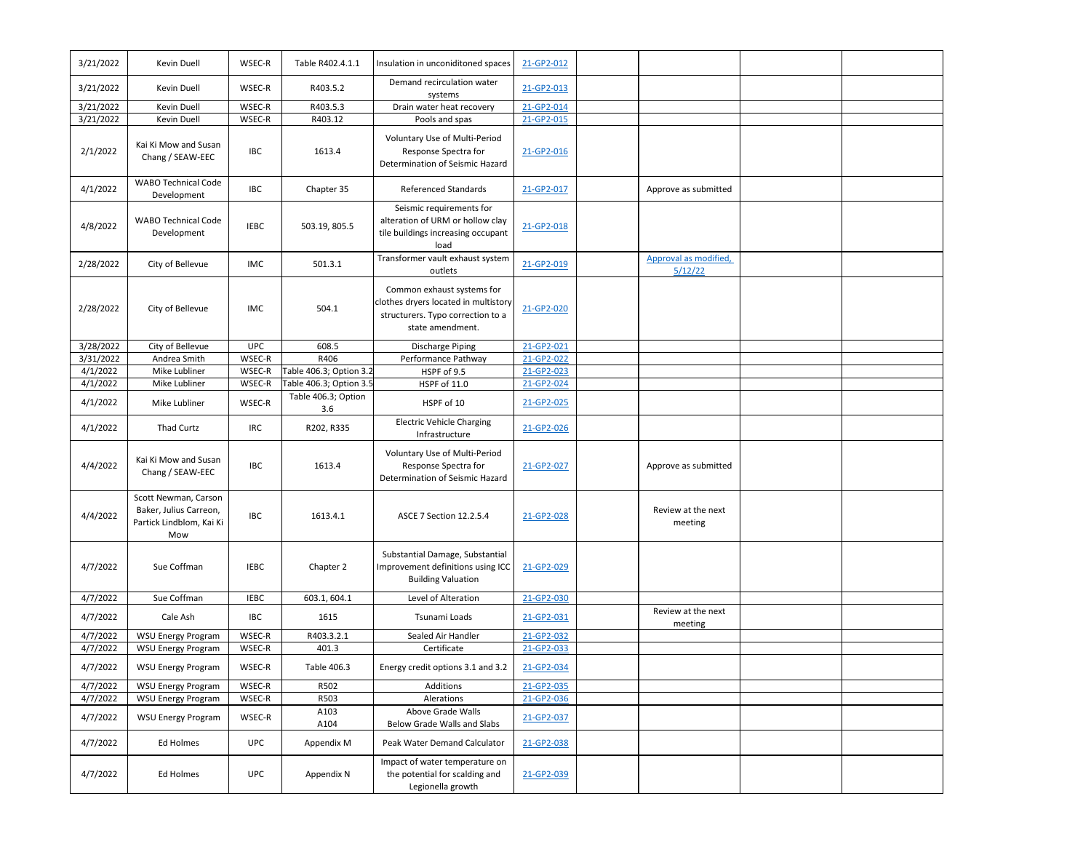| 3/21/2022 | Kevin Duell                                                                       | WSEC-R      | Table R402.4.1.1           | Insulation in unconiditoned spaces                                                                                          | 21-GP2-012 |                                  |  |
|-----------|-----------------------------------------------------------------------------------|-------------|----------------------------|-----------------------------------------------------------------------------------------------------------------------------|------------|----------------------------------|--|
| 3/21/2022 | Kevin Duell                                                                       | WSEC-R      | R403.5.2                   | Demand recirculation water<br>systems                                                                                       | 21-GP2-013 |                                  |  |
| 3/21/2022 | Kevin Duell                                                                       | WSEC-R      | R403.5.3                   | Drain water heat recovery                                                                                                   | 21-GP2-014 |                                  |  |
| 3/21/2022 | Kevin Duell                                                                       | WSEC-R      | R403.12                    | Pools and spas                                                                                                              | 21-GP2-015 |                                  |  |
| 2/1/2022  | Kai Ki Mow and Susan<br>Chang / SEAW-EEC                                          | IBC         | 1613.4                     | Voluntary Use of Multi-Period<br>Response Spectra for<br>Determination of Seismic Hazard                                    | 21-GP2-016 |                                  |  |
| 4/1/2022  | <b>WABO Technical Code</b><br>Development                                         | <b>IBC</b>  | Chapter 35                 | Referenced Standards                                                                                                        | 21-GP2-017 | Approve as submitted             |  |
| 4/8/2022  | <b>WABO Technical Code</b><br>Development                                         | <b>IEBC</b> | 503.19, 805.5              | Seismic requirements for<br>alteration of URM or hollow clay<br>tile buildings increasing occupant<br>load                  | 21-GP2-018 |                                  |  |
| 2/28/2022 | City of Bellevue                                                                  | IMC         | 501.3.1                    | Transformer vault exhaust system<br>outlets                                                                                 | 21-GP2-019 | Approval as modified,<br>5/12/22 |  |
| 2/28/2022 | City of Bellevue                                                                  | <b>IMC</b>  | 504.1                      | Common exhaust systems for<br>clothes dryers located in multistory<br>structurers. Typo correction to a<br>state amendment. | 21-GP2-020 |                                  |  |
| 3/28/2022 | City of Bellevue                                                                  | <b>UPC</b>  | 608.5                      | <b>Discharge Piping</b>                                                                                                     | 21-GP2-021 |                                  |  |
| 3/31/2022 | Andrea Smith                                                                      | WSEC-R      | R406                       | Performance Pathway                                                                                                         | 21-GP2-022 |                                  |  |
| 4/1/2022  | Mike Lubliner                                                                     | WSEC-R      | Table 406.3; Option 3.2    | HSPF of 9.5                                                                                                                 | 21-GP2-023 |                                  |  |
| 4/1/2022  | Mike Lubliner                                                                     | WSEC-R      | Table 406.3; Option 3.5    | HSPF of 11.0                                                                                                                | 21-GP2-024 |                                  |  |
| 4/1/2022  | Mike Lubliner                                                                     | WSEC-R      | Table 406.3; Option<br>3.6 | HSPF of 10                                                                                                                  | 21-GP2-025 |                                  |  |
| 4/1/2022  | <b>Thad Curtz</b>                                                                 | IRC         | R202, R335                 | <b>Electric Vehicle Charging</b><br>Infrastructure                                                                          | 21-GP2-026 |                                  |  |
| 4/4/2022  | Kai Ki Mow and Susan<br>Chang / SEAW-EEC                                          | <b>IBC</b>  | 1613.4                     | Voluntary Use of Multi-Period<br>Response Spectra for<br>Determination of Seismic Hazard                                    | 21-GP2-027 | Approve as submitted             |  |
| 4/4/2022  | Scott Newman, Carson<br>Baker, Julius Carreon,<br>Partick Lindblom, Kai Ki<br>Mow | IBC         | 1613.4.1                   | ASCE 7 Section 12.2.5.4                                                                                                     | 21-GP2-028 | Review at the next<br>meeting    |  |
| 4/7/2022  | Sue Coffman                                                                       | <b>IEBC</b> | Chapter 2                  | Substantial Damage, Substantial<br>Improvement definitions using ICC<br><b>Building Valuation</b>                           | 21-GP2-029 |                                  |  |
| 4/7/2022  | Sue Coffman                                                                       | <b>IEBC</b> | 603.1, 604.1               | Level of Alteration                                                                                                         | 21-GP2-030 |                                  |  |
| 4/7/2022  | Cale Ash                                                                          | IBC         | 1615                       | Tsunami Loads                                                                                                               | 21-GP2-031 | Review at the next<br>meeting    |  |
| 4/7/2022  | <b>WSU Energy Program</b>                                                         | WSEC-R      | R403.3.2.1                 | Sealed Air Handler                                                                                                          | 21-GP2-032 |                                  |  |
| 4/7/2022  | <b>WSU Energy Program</b>                                                         | WSEC-R      | 401.3                      | Certificate                                                                                                                 | 21-GP2-033 |                                  |  |
| 4/7/2022  | WSU Energy Program                                                                | $WSEC-R$    | Table 406.3                | Energy credit options 3.1 and 3.2                                                                                           | 21-GP2-034 |                                  |  |
| 4/7/2022  | <b>WSU Energy Program</b>                                                         | WSEC-R      | R502                       | Additions                                                                                                                   | 21-GP2-035 |                                  |  |
| 4/7/2022  | <b>WSU Energy Program</b>                                                         | WSEC-R      | R503                       | Alerations                                                                                                                  | 21-GP2-036 |                                  |  |
| 4/7/2022  | <b>WSU Energy Program</b>                                                         | WSEC-R      | A103<br>A104               | Above Grade Walls<br>Below Grade Walls and Slabs                                                                            | 21-GP2-037 |                                  |  |
| 4/7/2022  | Ed Holmes                                                                         | UPC         | Appendix M                 | Peak Water Demand Calculator                                                                                                | 21-GP2-038 |                                  |  |
| 4/7/2022  | Ed Holmes                                                                         | <b>UPC</b>  | Appendix N                 | Impact of water temperature on<br>the potential for scalding and<br>Legionella growth                                       | 21-GP2-039 |                                  |  |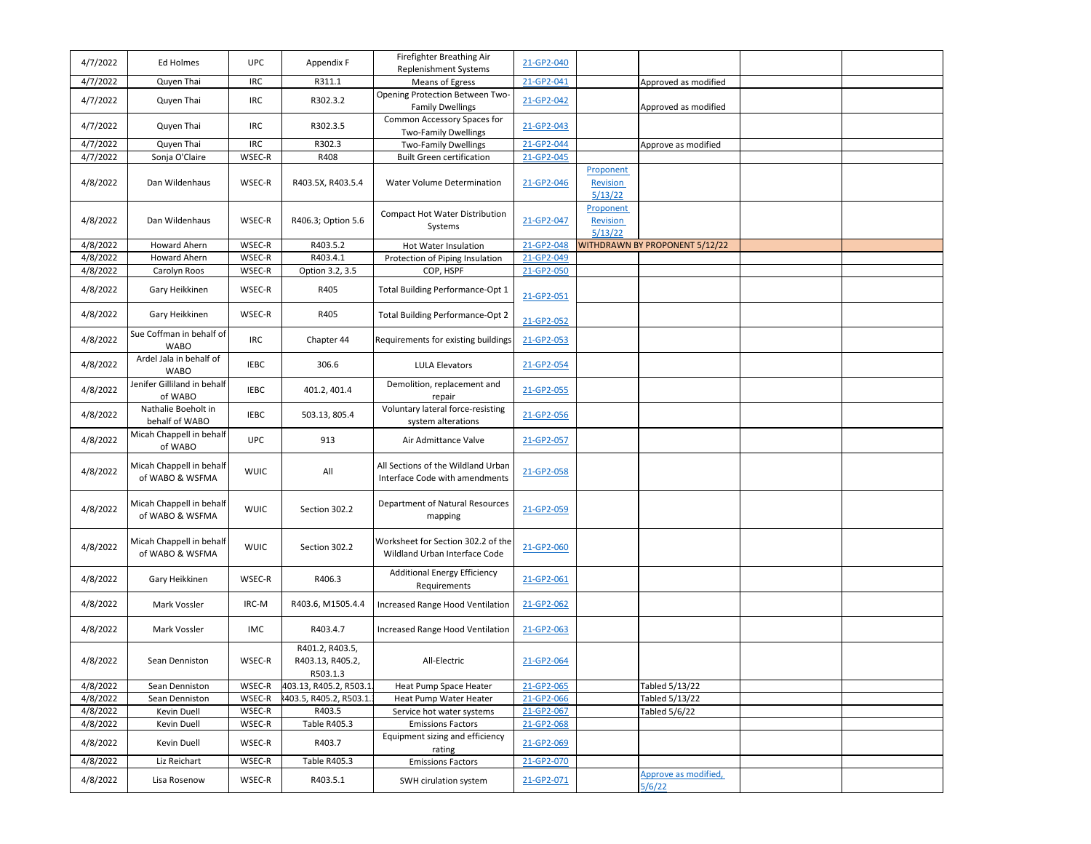| 4/7/2022 | Ed Holmes                                   | <b>UPC</b>  | Appendix F                                      | Firefighter Breathing Air<br>Replenishment Systems                   | 21-GP2-040 |                              |                                |  |
|----------|---------------------------------------------|-------------|-------------------------------------------------|----------------------------------------------------------------------|------------|------------------------------|--------------------------------|--|
| 4/7/2022 | Quyen Thai                                  | <b>IRC</b>  | R311.1                                          | Means of Egress                                                      | 21-GP2-041 |                              | Approved as modified           |  |
|          |                                             |             |                                                 | Opening Protection Between Two-                                      |            |                              |                                |  |
| 4/7/2022 | Quyen Thai                                  | IRC         | R302.3.2                                        | <b>Family Dwellings</b>                                              | 21-GP2-042 |                              | Approved as modified           |  |
| 4/7/2022 | Quyen Thai                                  | IRC         | R302.3.5                                        | Common Accessory Spaces for<br><b>Two-Family Dwellings</b>           | 21-GP2-043 |                              |                                |  |
| 4/7/2022 | Quyen Thai                                  | <b>IRC</b>  | R302.3                                          | <b>Two-Family Dwellings</b>                                          | 21-GP2-044 |                              | Approve as modified            |  |
| 4/7/2022 | Sonja O'Claire                              | WSEC-R      | R408                                            | <b>Built Green certification</b>                                     | 21-GP2-045 |                              |                                |  |
|          |                                             |             |                                                 |                                                                      |            | Proponent                    |                                |  |
| 4/8/2022 | Dan Wildenhaus                              | WSEC-R      | R403.5X, R403.5.4                               | Water Volume Determination                                           | 21-GP2-046 | Revision<br>5/13/22          |                                |  |
| 4/8/2022 | Dan Wildenhaus                              | WSEC-R      | R406.3; Option 5.6                              | <b>Compact Hot Water Distribution</b><br>Systems                     | 21-GP2-047 | Proponent<br><b>Revision</b> |                                |  |
|          |                                             |             |                                                 |                                                                      |            | 5/13/22                      |                                |  |
| 4/8/2022 | Howard Ahern                                | WSEC-R      | R403.5.2                                        | Hot Water Insulation                                                 | 21-GP2-048 |                              | WITHDRAWN BY PROPONENT 5/12/22 |  |
| 4/8/2022 | Howard Ahern                                | WSEC-R      | R403.4.1                                        | Protection of Piping Insulation                                      | 21-GP2-049 |                              |                                |  |
| 4/8/2022 | Carolyn Roos                                | WSEC-R      | Option 3.2, 3.5                                 | COP, HSPF                                                            | 21-GP2-050 |                              |                                |  |
| 4/8/2022 | Gary Heikkinen                              | WSEC-R      | R405                                            | Total Building Performance-Opt 1                                     | 21-GP2-051 |                              |                                |  |
| 4/8/2022 | Gary Heikkinen                              | WSEC-R      | R405                                            | Total Building Performance-Opt 2                                     | 21-GP2-052 |                              |                                |  |
| 4/8/2022 | Sue Coffman in behalf of<br><b>WABO</b>     | <b>IRC</b>  | Chapter 44                                      | Requirements for existing buildings                                  | 21-GP2-053 |                              |                                |  |
| 4/8/2022 | Ardel Jala in behalf of<br><b>WABO</b>      | <b>IEBC</b> | 306.6                                           | <b>LULA Elevators</b>                                                | 21-GP2-054 |                              |                                |  |
| 4/8/2022 | Jenifer Gilliland in behalf<br>of WABO      | <b>IEBC</b> | 401.2, 401.4                                    | Demolition, replacement and<br>repair                                | 21-GP2-055 |                              |                                |  |
| 4/8/2022 | Nathalie Boeholt in<br>behalf of WABO       | <b>IEBC</b> | 503.13, 805.4                                   | Voluntary lateral force-resisting<br>system alterations              | 21-GP2-056 |                              |                                |  |
| 4/8/2022 | Micah Chappell in behalf<br>of WABO         | <b>UPC</b>  | 913                                             | Air Admittance Valve                                                 | 21-GP2-057 |                              |                                |  |
| 4/8/2022 | Micah Chappell in behalf<br>of WABO & WSFMA | <b>WUIC</b> | All                                             | All Sections of the Wildland Urban<br>Interface Code with amendments | 21-GP2-058 |                              |                                |  |
| 4/8/2022 | Micah Chappell in behalf<br>of WABO & WSFMA | <b>WUIC</b> | Section 302.2                                   | Department of Natural Resources<br>mapping                           | 21-GP2-059 |                              |                                |  |
| 4/8/2022 | Micah Chappell in behalf<br>of WABO & WSFMA | <b>WUIC</b> | Section 302.2                                   | Worksheet for Section 302.2 of the<br>Wildland Urban Interface Code  | 21-GP2-060 |                              |                                |  |
| 4/8/2022 | Gary Heikkinen                              | WSEC-R      | R406.3                                          | <b>Additional Energy Efficiency</b><br>Requirements                  | 21-GP2-061 |                              |                                |  |
| 4/8/2022 | Mark Vossler                                | IRC-M       | R403.6, M1505.4.4                               | Increased Range Hood Ventilation                                     | 21-GP2-062 |                              |                                |  |
| 4/8/2022 | Mark Vossler                                | <b>IMC</b>  | R403.4.7                                        | Increased Range Hood Ventilation                                     | 21-GP2-063 |                              |                                |  |
| 4/8/2022 | Sean Denniston                              | WSEC-R      | R401.2, R403.5,<br>R403.13, R405.2,<br>R503.1.3 | All-Electric                                                         | 21-GP2-064 |                              |                                |  |
| 4/8/2022 | Sean Denniston                              | WSEC-R      | 403.13, R405.2, R503.1                          | Heat Pump Space Heater                                               | 21-GP2-065 |                              | Tabled 5/13/22                 |  |
| 4/8/2022 | Sean Denniston                              | WSEC-R      | 2403.5, R405.2, R503.1.                         | Heat Pump Water Heater                                               | 21-GP2-066 |                              | Tabled 5/13/22                 |  |
| 4/8/2022 | Kevin Duell                                 | WSEC-R      | R403.5                                          | Service hot water systems                                            | 21-GP2-067 |                              | Tabled 5/6/22                  |  |
| 4/8/2022 | Kevin Duell                                 | WSEC-R      | Table R405.3                                    | <b>Emissions Factors</b>                                             | 21-GP2-068 |                              |                                |  |
| 4/8/2022 | Kevin Duell                                 | WSEC-R      | R403.7                                          | Equipment sizing and efficiency<br>rating                            | 21-GP2-069 |                              |                                |  |
| 4/8/2022 | Liz Reichart                                | WSEC-R      | Table R405.3                                    | <b>Emissions Factors</b>                                             | 21-GP2-070 |                              |                                |  |
| 4/8/2022 | Lisa Rosenow                                | WSEC-R      | R403.5.1                                        | SWH cirulation system                                                | 21-GP2-071 |                              | Approve as modified,<br>5/6/22 |  |